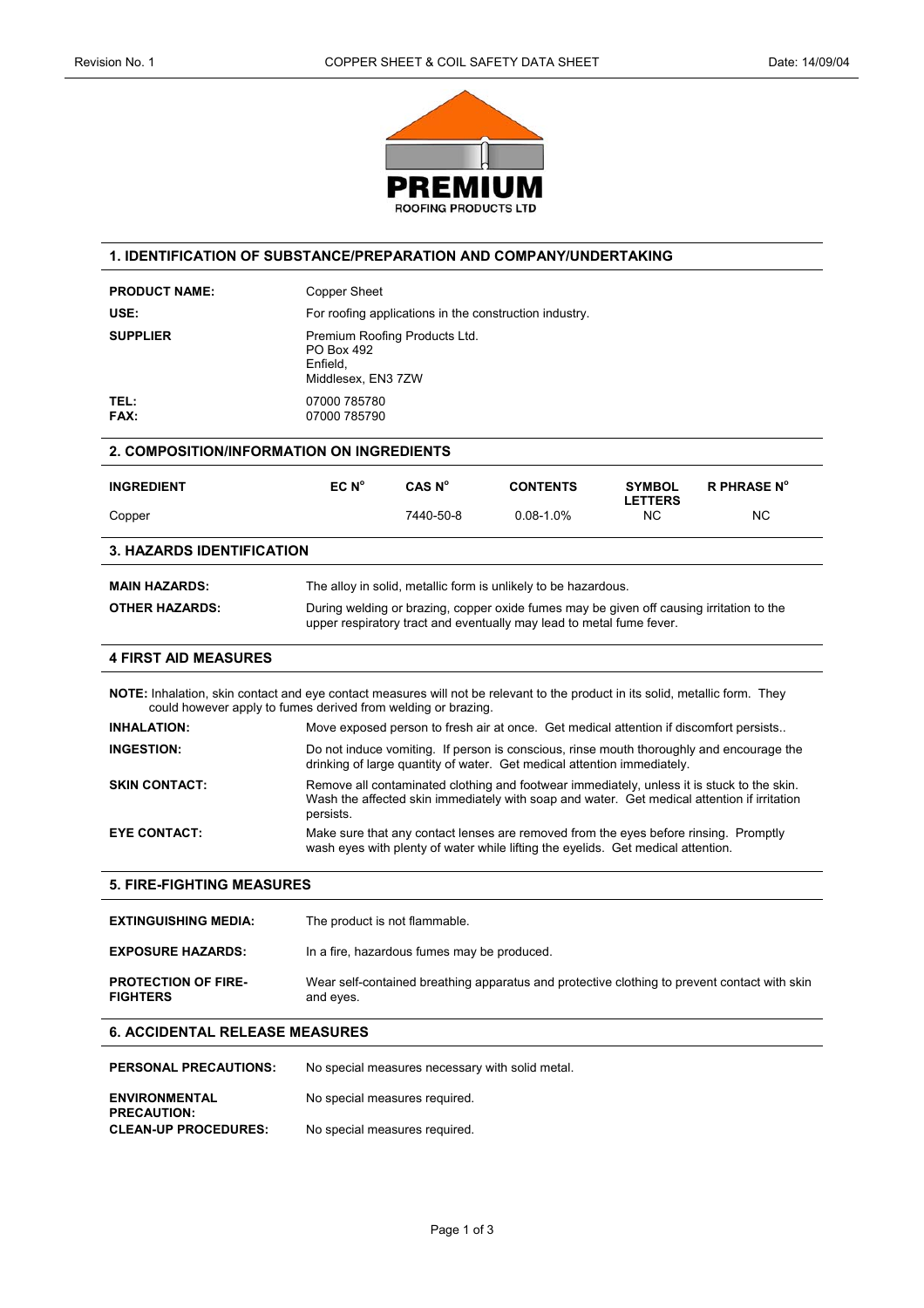

# **1. IDENTIFICATION OF SUBSTANCE/PREPARATION AND COMPANY/UNDERTAKING**

|                                                                                                                                                                                                | <b>Copper Sheet</b>                                                                                                                                              |                               |                                                                                                                                                                                           |                                 |                    |
|------------------------------------------------------------------------------------------------------------------------------------------------------------------------------------------------|------------------------------------------------------------------------------------------------------------------------------------------------------------------|-------------------------------|-------------------------------------------------------------------------------------------------------------------------------------------------------------------------------------------|---------------------------------|--------------------|
| USE:                                                                                                                                                                                           | For roofing applications in the construction industry.                                                                                                           |                               |                                                                                                                                                                                           |                                 |                    |
| <b>SUPPLIER</b>                                                                                                                                                                                | PO Box 492<br>Enfield.<br>Middlesex, EN3 7ZW                                                                                                                     | Premium Roofing Products Ltd. |                                                                                                                                                                                           |                                 |                    |
| TEL :<br>FAX:                                                                                                                                                                                  | 07000 785780<br>07000 785790                                                                                                                                     |                               |                                                                                                                                                                                           |                                 |                    |
| <b>2. COMPOSITION/INFORMATION ON INGREDIENTS</b>                                                                                                                                               |                                                                                                                                                                  |                               |                                                                                                                                                                                           |                                 |                    |
| <b>INGREDIENT</b>                                                                                                                                                                              | EC N <sup>o</sup>                                                                                                                                                | CAS N <sup>o</sup>            | <b>CONTENTS</b>                                                                                                                                                                           | <b>SYMBOL</b><br><b>LETTERS</b> | <b>R PHRASE N°</b> |
| Copper                                                                                                                                                                                         |                                                                                                                                                                  | 7440-50-8                     | $0.08 - 1.0%$                                                                                                                                                                             | <b>NC</b>                       | <b>NC</b>          |
| <b>3. HAZARDS IDENTIFICATION</b>                                                                                                                                                               |                                                                                                                                                                  |                               |                                                                                                                                                                                           |                                 |                    |
| <b>MAIN HAZARDS:</b>                                                                                                                                                                           |                                                                                                                                                                  |                               | The alloy in solid, metallic form is unlikely to be hazardous.                                                                                                                            |                                 |                    |
| <b>OTHER HAZARDS:</b>                                                                                                                                                                          | During welding or brazing, copper oxide fumes may be given off causing irritation to the<br>upper respiratory tract and eventually may lead to metal fume fever. |                               |                                                                                                                                                                                           |                                 |                    |
| <b>4 FIRST AID MEASURES</b>                                                                                                                                                                    |                                                                                                                                                                  |                               |                                                                                                                                                                                           |                                 |                    |
|                                                                                                                                                                                                |                                                                                                                                                                  |                               |                                                                                                                                                                                           |                                 |                    |
| NOTE: Inhalation, skin contact and eye contact measures will not be relevant to the product in its solid, metallic form. They<br>could however apply to fumes derived from welding or brazing. |                                                                                                                                                                  |                               |                                                                                                                                                                                           |                                 |                    |
| <b>INHALATION:</b>                                                                                                                                                                             |                                                                                                                                                                  |                               | Move exposed person to fresh air at once. Get medical attention if discomfort persists                                                                                                    |                                 |                    |
| <b>INGESTION:</b>                                                                                                                                                                              |                                                                                                                                                                  |                               | Do not induce vomiting. If person is conscious, rinse mouth thoroughly and encourage the<br>drinking of large quantity of water. Get medical attention immediately.                       |                                 |                    |
| <b>SKIN CONTACT:</b>                                                                                                                                                                           | persists.                                                                                                                                                        |                               | Remove all contaminated clothing and footwear immediately, unless it is stuck to the skin.<br>Wash the affected skin immediately with soap and water. Get medical attention if irritation |                                 |                    |

| <b>EXTINGUISHING MEDIA:</b>                   | The product is not flammable.                                                                             |
|-----------------------------------------------|-----------------------------------------------------------------------------------------------------------|
| <b>EXPOSURE HAZARDS:</b>                      | In a fire, hazardous fumes may be produced.                                                               |
| <b>PROTECTION OF FIRE-</b><br><b>FIGHTERS</b> | Wear self-contained breathing apparatus and protective clothing to prevent contact with skin<br>and eyes. |

# **6. ACCIDENTAL RELEASE MEASURES**

| <b>PERSONAL PRECAUTIONS:</b>               | No special measures necessary with solid metal. |
|--------------------------------------------|-------------------------------------------------|
| <b>ENVIRONMENTAL</b><br><b>PRECAUTION:</b> | No special measures required.                   |
| <b>CLEAN-UP PROCEDURES:</b>                | No special measures required.                   |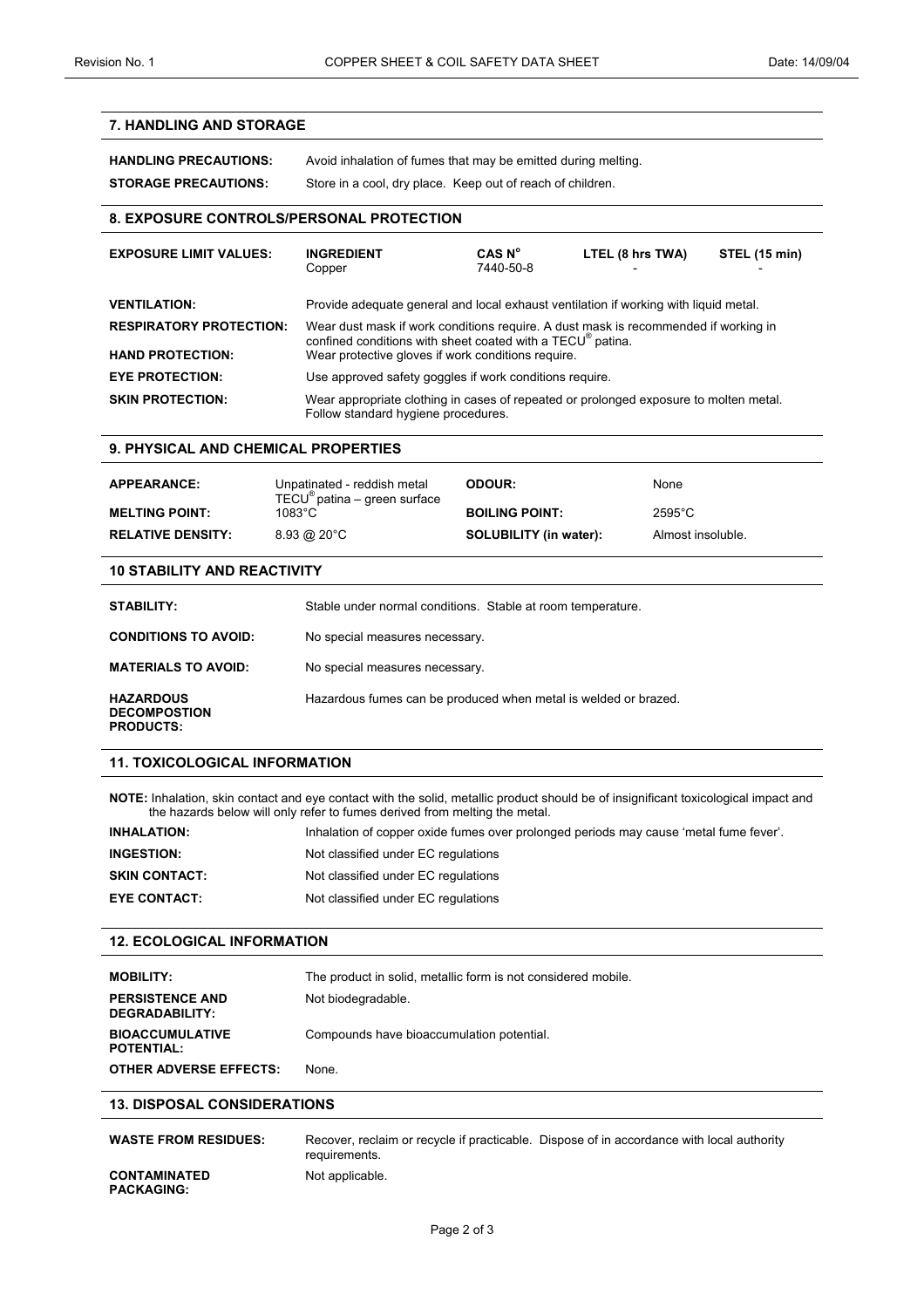# **7. HANDLING AND STORAGE**

| <b>HANDLING PRECAUTIONS:</b> | Avoid inhalation of fumes that may be emitted during melting. |
|------------------------------|---------------------------------------------------------------|
| <b>STORAGE PRECAUTIONS:</b>  | Store in a cool, dry place. Keep out of reach of children.    |

# **8. EXPOSURE CONTROLS/PERSONAL PROTECTION**

| <b>EXPOSURE LIMIT VALUES:</b>  | <b>INGREDIENT</b><br>Copper                                                                                                                       | CAS N <sup>o</sup><br>7440-50-8 | LTEL (8 hrs TWA) | STEL (15 min) |
|--------------------------------|---------------------------------------------------------------------------------------------------------------------------------------------------|---------------------------------|------------------|---------------|
| <b>VENTILATION:</b>            | Provide adequate general and local exhaust ventilation if working with liquid metal.                                                              |                                 |                  |               |
| <b>RESPIRATORY PROTECTION:</b> | Wear dust mask if work conditions require. A dust mask is recommended if working in<br>confined conditions with sheet coated with a TECU® patina. |                                 |                  |               |
| <b>HAND PROTECTION:</b>        | Wear protective gloves if work conditions require.                                                                                                |                                 |                  |               |
| <b>EYE PROTECTION:</b>         | Use approved safety goggles if work conditions require.                                                                                           |                                 |                  |               |
| <b>SKIN PROTECTION:</b>        | Wear appropriate clothing in cases of repeated or prolonged exposure to molten metal.<br>Follow standard hygiene procedures.                      |                                 |                  |               |

#### **9. PHYSICAL AND CHEMICAL PROPERTIES**

| <b>APPEARANCE:</b>       | Unpatinated - reddish metal<br>$TECU^{\omega}$ patina – green surface | <b>ODOUR:</b>                 | <b>None</b>       |
|--------------------------|-----------------------------------------------------------------------|-------------------------------|-------------------|
| <b>MELTING POINT:</b>    | 1083°C                                                                | <b>BOILING POINT:</b>         | $2595^{\circ}$ C  |
| <b>RELATIVE DENSITY:</b> | $8.93 \ @ \ 20^{\circ}$ C                                             | <b>SOLUBILITY (in water):</b> | Almost insoluble. |

### **10 STABILITY AND REACTIVITY**

| STABILITY:                                                  | Stable under normal conditions. Stable at room temperature.     |
|-------------------------------------------------------------|-----------------------------------------------------------------|
| <b>CONDITIONS TO AVOID:</b>                                 | No special measures necessary.                                  |
| <b>MATERIALS TO AVOID:</b>                                  | No special measures necessary.                                  |
| <b>HAZARDOUS</b><br><b>DECOMPOSTION</b><br><b>PRODUCTS:</b> | Hazardous fumes can be produced when metal is welded or brazed. |

### **11. TOXICOLOGICAL INFORMATION**

**NOTE:** Inhalation, skin contact and eye contact with the solid, metallic product should be of insignificant toxicological impact and the hazards below will only refer to fumes derived from melting the metal.

| <b>INHALATION:</b>   | Inhalation of copper oxide fumes over prolonged periods may cause 'metal fume fever'. |
|----------------------|---------------------------------------------------------------------------------------|
| <b>INGESTION:</b>    | Not classified under EC regulations                                                   |
| <b>SKIN CONTACT:</b> | Not classified under EC regulations                                                   |
| <b>EYE CONTACT:</b>  | Not classified under EC regulations                                                   |

#### **12. ECOLOGICAL INFORMATION**

| <b>MOBILITY:</b>                            | The product in solid, metallic form is not considered mobile. |
|---------------------------------------------|---------------------------------------------------------------|
| <b>PERSISTENCE AND</b><br>DEGRADABILITY:    | Not biodegradable.                                            |
| <b>BIOACCUMULATIVE</b><br><b>POTENTIAL:</b> | Compounds have bioaccumulation potential.                     |
| <b>OTHER ADVERSE EFFECTS:</b>               | None.                                                         |

#### **13. DISPOSAL CONSIDERATIONS**

| <b>WASTE FROM RESIDUES:</b>       | requirements.   | Recover, reclaim or recycle if practicable. Dispose of in accordance with local authority |
|-----------------------------------|-----------------|-------------------------------------------------------------------------------------------|
| CONTAMINATED<br><b>PACKAGING:</b> | Not applicable. |                                                                                           |